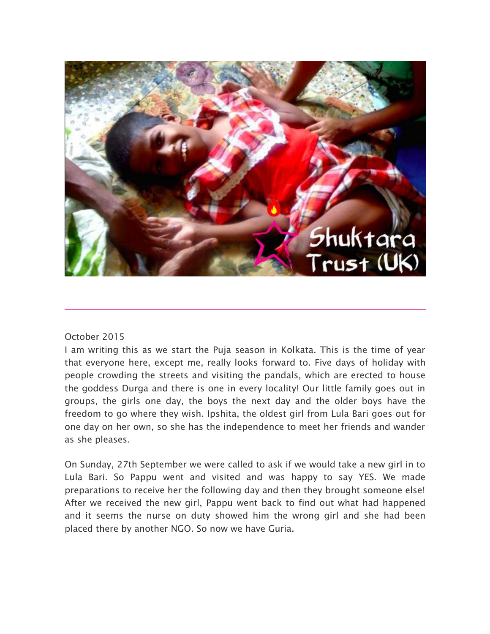

## October 2015

I am writing this as we start the Puja season in Kolkata. This is the time of year that everyone here, except me, really looks forward to. Five days of holiday with people crowding the streets and visiting the pandals, which are erected to house the goddess Durga and there is one in every locality! Our little family goes out in groups, the girls one day, the boys the next day and the older boys have the freedom to go where they wish. Ipshita, the oldest girl from Lula Bari goes out for one day on her own, so she has the independence to meet her friends and wander as she pleases.

On Sunday, 27th September we were called to ask if we would take a new girl in to Lula Bari. So Pappu went and visited and was happy to say YES. We made preparations to receive her the following day and then they brought someone else! After we received the new girl, Pappu went back to find out what had happened and it seems the nurse on duty showed him the wrong girl and she had been placed there by another NGO. So now we have Guria.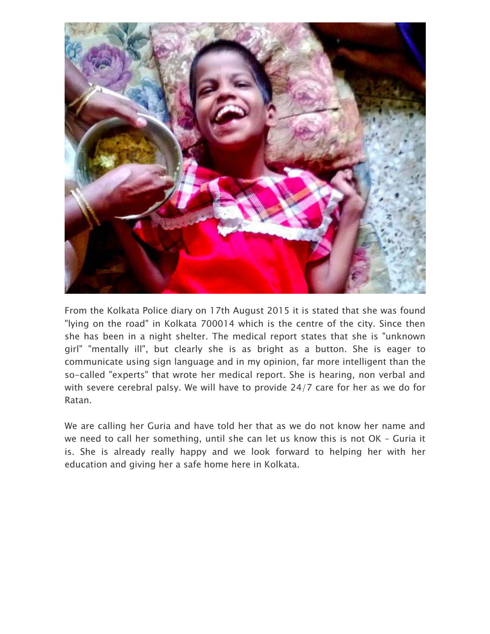

From the Kolkata Police diary on 17th August 2015 it is stated that she was found "lying on the road" in Kolkata 700014 which is the centre of the city. Since then she has been in a night shelter. The medical report states that she is "unknown girl" "mentally ill", but clearly she is as bright as a button. She is eager to communicate using sign language and in my opinion, far more intelligent than the so-called "experts" that wrote her medical report. She is hearing, non verbal and with severe cerebral palsy. We will have to provide 24/7 care for her as we do for Ratan.

We are calling her Guria and have told her that as we do not know her name and we need to call her something, until she can let us know this is not OK – Guria it is. She is already really happy and we look forward to helping her with her education and giving her a safe home here in Kolkata.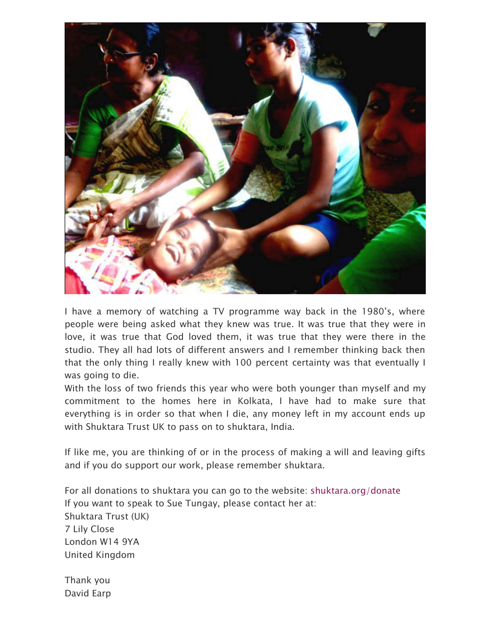

I have a memory of watching a TV programme way back in the 1980's, where people were being asked what they knew was true. It was true that they were in love, it was true that God loved them, it was true that they were there in the studio. They all had lots of different answers and I remember thinking back then that the only thing I really knew with 100 percent certainty was that eventually I was going to die.

With the loss of two friends this year who were both younger than myself and my commitment to the homes here in Kolkata, I have had to make sure that everything is in order so that when I die, any money left in my account ends up with Shuktara Trust UK to pass on to shuktara, India.

If like me, you are thinking of or in the process of making a will and leaving gifts and if you do support our work, please remember shuktara.

For all donations to shuktara you can go to the website: shuktara.org/donate If you want to speak to Sue Tungay, please contact her at: Shuktara Trust (UK) 7 Lily Close London W14 9YA United Kingdom

Thank you David Earp